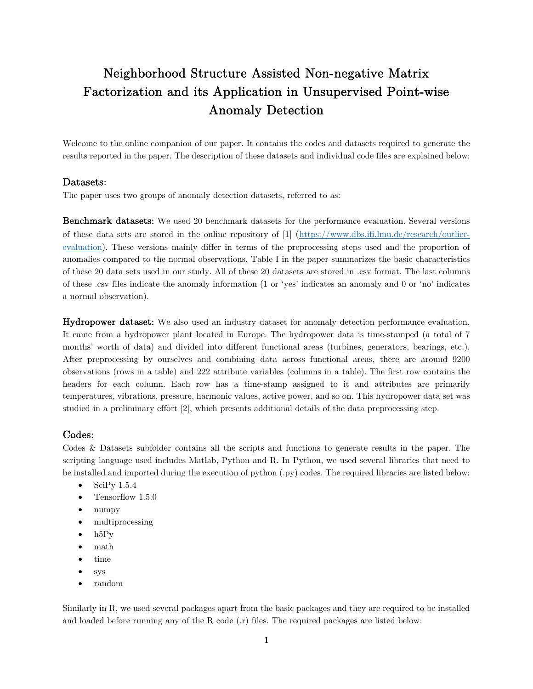# Neighborhood Structure Assisted Non-negative Matrix Factorization and its Application in Unsupervised Point-wise Anomaly Detection

Welcome to the online companion of our paper. It contains the codes and datasets required to generate the results reported in the paper. The description of these datasets and individual code files are explained below:

#### Datasets:

The paper uses two groups of anomaly detection datasets, referred to as:

Benchmark datasets: We used 20 benchmark datasets for the performance evaluation. Several versions of these data sets are stored in the online repository of [1] (https://www.dbs.ifi.lmu.de/research/outlierevaluation). These versions mainly differ in terms of the preprocessing steps used and the proportion of anomalies compared to the normal observations. Table I in the paper summarizes the basic characteristics of these 20 data sets used in our study. All of these 20 datasets are stored in .csv format. The last columns of these .csv files indicate the anomaly information (1 or 'yes' indicates an anomaly and 0 or 'no' indicates a normal observation).

Hydropower dataset: We also used an industry dataset for anomaly detection performance evaluation. It came from a hydropower plant located in Europe. The hydropower data is time-stamped (a total of 7 months' worth of data) and divided into different functional areas (turbines, generators, bearings, etc.). After preprocessing by ourselves and combining data across functional areas, there are around 9200 observations (rows in a table) and 222 attribute variables (columns in a table). The first row contains the headers for each column. Each row has a time-stamp assigned to it and attributes are primarily temperatures, vibrations, pressure, harmonic values, active power, and so on. This hydropower data set was studied in a preliminary effort [2], which presents additional details of the data preprocessing step.

### Codes:

Codes & Datasets subfolder contains all the scripts and functions to generate results in the paper. The scripting language used includes Matlab, Python and R. In Python, we used several libraries that need to be installed and imported during the execution of python (.py) codes. The required libraries are listed below:

- $\bullet$  SciPy 1.5.4
- Tensorflow 1.5.0
- numpy
- multiprocessing
- $\bullet$  h<sub>5</sub>P<sub>v</sub>
- math
- $\bullet$  time
- sys
- random

Similarly in R, we used several packages apart from the basic packages and they are required to be installed and loaded before running any of the R code  $(r)$  files. The required packages are listed below: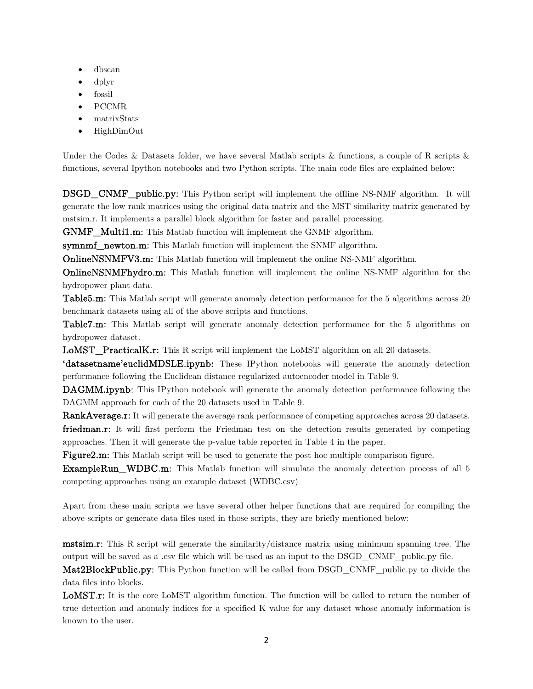- dbscan
- dplyr
- fossil
- PCCMR
- matrixStats
- HighDimOut

Under the Codes & Datasets folder, we have several Matlab scripts & functions, a couple of R scripts & functions, several Ipython notebooks and two Python scripts. The main code files are explained below:

DSGD\_CNMF\_public.py: This Python script will implement the offline NS-NMF algorithm. It will generate the low rank matrices using the original data matrix and the MST similarity matrix generated by mstsim.r. It implements a parallel block algorithm for faster and parallel processing.

GNMF\_Multi1.m: This Matlab function will implement the GNMF algorithm.

symnmf newton.m: This Matlab function will implement the SNMF algorithm.

OnlineNSNMFV3.m: This Matlab function will implement the online NS-NMF algorithm.

OnlineNSNMFhydro.m: This Matlab function will implement the online NS-NMF algorithm for the hydropower plant data.

Table5.m: This Matlab script will generate anomaly detection performance for the 5 algorithms across 20 benchmark datasets using all of the above scripts and functions.

Table7.m: This Matlab script will generate anomaly detection performance for the 5 algorithms on hydropower dataset.

LoMST\_PracticalK.r: This R script will implement the LoMST algorithm on all 20 datasets.

'datasetname'euclidMDSLE.ipynb: These IPython notebooks will generate the anomaly detection performance following the Euclidean distance regularized autoencoder model in Table 9.

DAGMM.ipynb: This IPython notebook will generate the anomaly detection performance following the DAGMM approach for each of the 20 datasets used in Table 9.

RankAverage.r: It will generate the average rank performance of competing approaches across 20 datasets.

friedman.r: It will first perform the Friedman test on the detection results generated by competing approaches. Then it will generate the p-value table reported in Table 4 in the paper.

Figure 2.m: This Matlab script will be used to generate the post hoc multiple comparison figure.

ExampleRun WDBC.m: This Matlab function will simulate the anomaly detection process of all 5 competing approaches using an example dataset (WDBC.csv)

Apart from these main scripts we have several other helper functions that are required for compiling the above scripts or generate data files used in those scripts, they are briefly mentioned below:

mstsim.r: This R script will generate the similarity/distance matrix using minimum spanning tree. The output will be saved as a .csv file which will be used as an input to the DSGD\_CNMF\_public.py file.

Mat2BlockPublic.py: This Python function will be called from DSGD\_CNMF\_public.py to divide the data files into blocks.

LoMST.r: It is the core LoMST algorithm function. The function will be called to return the number of true detection and anomaly indices for a specified K value for any dataset whose anomaly information is known to the user.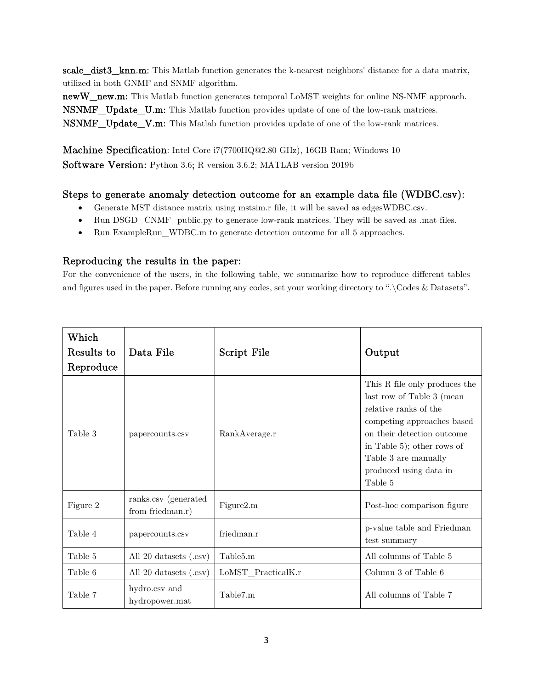scale dist3 knn.m: This Matlab function generates the k-nearest neighbors' distance for a data matrix, utilized in both GNMF and SNMF algorithm.

newW\_new.m: This Matlab function generates temporal LoMST weights for online NS-NMF approach. NSNMF\_Update\_U.m: This Matlab function provides update of one of the low-rank matrices. NSNMF\_Update\_V.m: This Matlab function provides update of one of the low-rank matrices.

Machine Specification: Intel Core i7(7700HQ@2.80 GHz), 16GB Ram; Windows 10 Software Version: Python 3.6; R version 3.6.2; MATLAB version 2019b

## Steps to generate anomaly detection outcome for an example data file (WDBC.csv):

- Generate MST distance matrix using mstsim.r file, it will be saved as edgesWDBC.csv.
- Run DSGD\_CNMF\_public.py to generate low-rank matrices. They will be saved as .mat files.
- Run ExampleRun WDBC.m to generate detection outcome for all 5 approaches.

## Reproducing the results in the paper:

For the convenience of the users, in the following table, we summarize how to reproduce different tables and figures used in the paper. Before running any codes, set your working directory to ".\Codes & Datasets".

| Which<br>Results to<br>Reproduce | Data File                                | Script File          | Output                                                                                                                                                                                                                                     |
|----------------------------------|------------------------------------------|----------------------|--------------------------------------------------------------------------------------------------------------------------------------------------------------------------------------------------------------------------------------------|
| Table 3                          | papercounts.csv                          | RankAverage.r        | This R file only produces the<br>last row of Table 3 (mean<br>relative ranks of the<br>competing approaches based<br>on their detection outcome<br>in Table 5); other rows of<br>Table 3 are manually<br>produced using data in<br>Table 5 |
| Figure 2                         | ranks.csv (generated<br>from friedman.r) | Figure2.m            | Post-hoc comparison figure                                                                                                                                                                                                                 |
| Table 4                          | papercounts.csv                          | friedman.r           | p-value table and Friedman<br>test summary                                                                                                                                                                                                 |
| Table 5                          | All 20 datasets (.csv)                   | Table <sub>5.m</sub> | All columns of Table 5                                                                                                                                                                                                                     |
| Table 6                          | All 20 datasets (.csv)                   | LoMST_PracticalK.r   | Column 3 of Table 6                                                                                                                                                                                                                        |
| Table 7                          | hydro.csv and<br>hydropower.mat          | Table7.m             | All columns of Table 7                                                                                                                                                                                                                     |